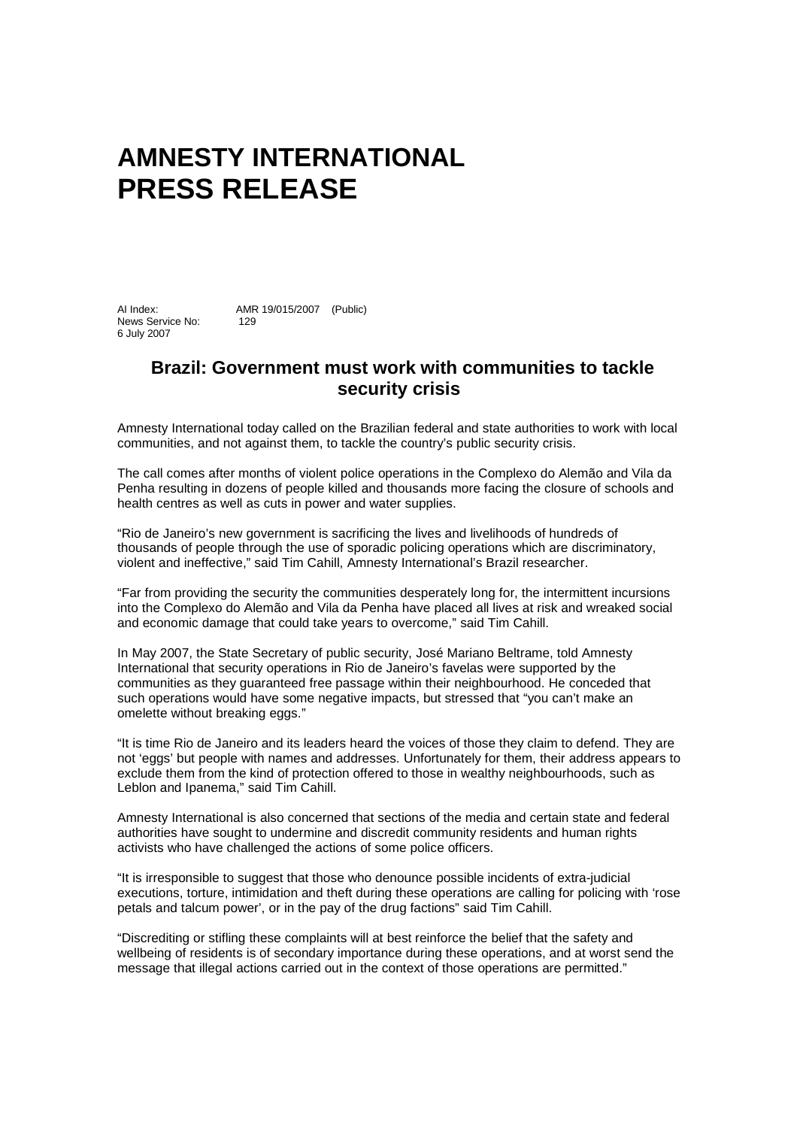## **AMNESTY INTERNATIONAL PRESS RELEASE**

AI Index: AMR 19/015/2007 (Public) News Service No: 129 6 July 2007

## **Brazil: Government must work with communities to tackle security crisis**

Amnesty International today called on the Brazilian federal and state authorities to work with local communities, and not against them, to tackle the country's public security crisis.

The call comes after months of violent police operations in the Complexo do Alemão and Vila da Penha resulting in dozens of people killed and thousands more facing the closure of schools and health centres as well as cuts in power and water supplies.

"Rio de Janeiro's new government is sacrificing the lives and livelihoods of hundreds of thousands of people through the use of sporadic policing operations which are discriminatory, violent and ineffective," said Tim Cahill, Amnesty International's Brazil researcher.

"Far from providing the security the communities desperately long for, the intermittent incursions into the Complexo do Alemão and Vila da Penha have placed all lives at risk and wreaked social and economic damage that could take years to overcome," said Tim Cahill.

In May 2007, the State Secretary of public security, José Mariano Beltrame, told Amnesty International that security operations in Rio de Janeiro's favelas were supported by the communities as they guaranteed free passage within their neighbourhood. He conceded that such operations would have some negative impacts, but stressed that "you can't make an omelette without breaking eggs."

"It is time Rio de Janeiro and its leaders heard the voices of those they claim to defend. They are not 'eggs' but people with names and addresses. Unfortunately for them, their address appears to exclude them from the kind of protection offered to those in wealthy neighbourhoods, such as Leblon and Ipanema," said Tim Cahill.

Amnesty International is also concerned that sections of the media and certain state and federal authorities have sought to undermine and discredit community residents and human rights activists who have challenged the actions of some police officers.

"It is irresponsible to suggest that those who denounce possible incidents of extra-judicial executions, torture, intimidation and theft during these operations are calling for policing with 'rose petals and talcum power', or in the pay of the drug factions" said Tim Cahill.

"Discrediting or stifling these complaints will at best reinforce the belief that the safety and wellbeing of residents is of secondary importance during these operations, and at worst send the message that illegal actions carried out in the context of those operations are permitted."